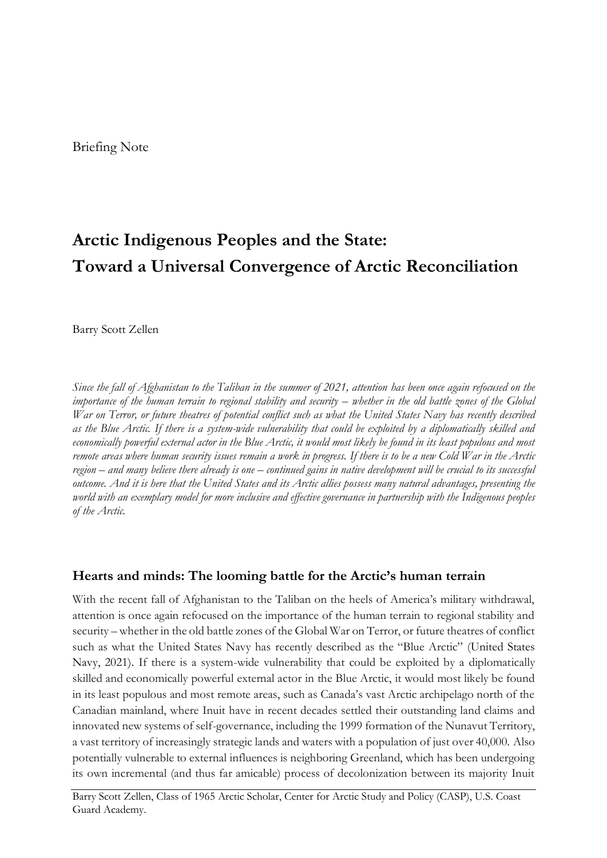# **Arctic Indigenous Peoples and the State: Toward a Universal Convergence of Arctic Reconciliation**

Barry Scott Zellen

*Since the fall of Afghanistan to the Taliban in the summer of 2021, attention has been once again refocused on the importance of the human terrain to regional stability and security – whether in the old battle zones of the Global War on Terror, or future theatres of potential conflict such as what the United States Navy has recently described as the Blue Arctic. If there is a system-wide vulnerability that could be exploited by a diplomatically skilled and economically powerful external actor in the Blue Arctic, it would most likely be found in its least populous and most remote areas where human security issues remain a work in progress. If there is to be a new Cold War in the Arctic region – and many believe there already is one – continued gains in native development will be crucial to its successful outcome. And it is here that the United States and its Arctic allies possess many natural advantages, presenting the world with an exemplary model for more inclusive and effective governance in partnership with the Indigenous peoples of the Arctic.* 

### **Hearts and minds: The looming battle for the Arctic's human terrain**

With the recent fall of Afghanistan to the Taliban on the heels of America's military withdrawal, attention is once again refocused on the importance of the human terrain to regional stability and security – whether in the old battle zones of the Global War on Terror, or future theatres of conflict such as what the United States Navy has recently described as the "Blue Arctic" (United States Navy, 2021). If there is a system-wide vulnerability that could be exploited by a diplomatically skilled and economically powerful external actor in the Blue Arctic, it would most likely be found in its least populous and most remote areas, such as Canada's vast Arctic archipelago north of the Canadian mainland, where Inuit have in recent decades settled their outstanding land claims and innovated new systems of self-governance, including the 1999 formation of the Nunavut Territory, a vast territory of increasingly strategic lands and waters with a population of just over 40,000. Also potentially vulnerable to external influences is neighboring Greenland, which has been undergoing its own incremental (and thus far amicable) process of decolonization between its majority Inuit

Barry Scott Zellen, Class of 1965 Arctic Scholar, Center for Arctic Study and Policy (CASP), U.S. Coast Guard Academy.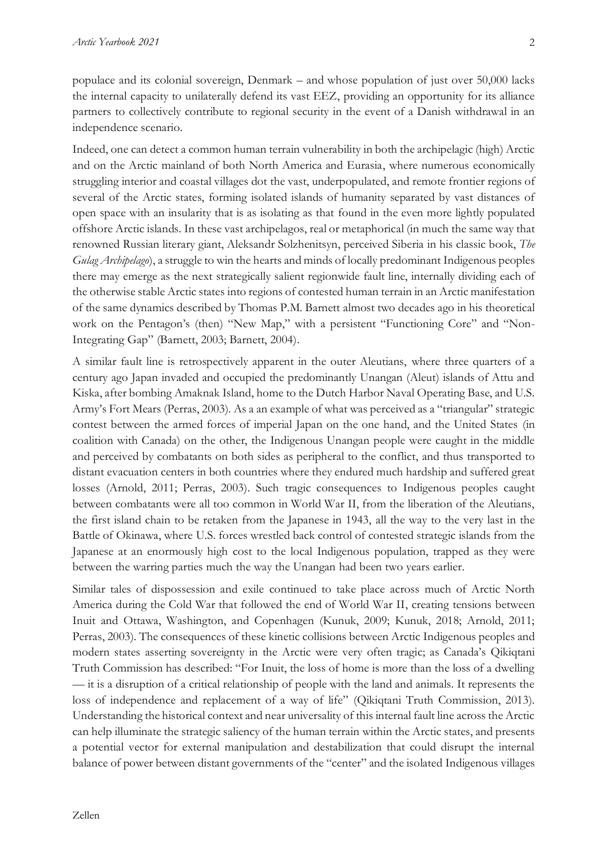populace and its colonial sovereign, Denmark – and whose population of just over 50,000 lacks the internal capacity to unilaterally defend its vast EEZ, providing an opportunity for its alliance partners to collectively contribute to regional security in the event of a Danish withdrawal in an independence scenario.

Indeed, one can detect a common human terrain vulnerability in both the archipelagic (high) Arctic and on the Arctic mainland of both North America and Eurasia, where numerous economically struggling interior and coastal villages dot the vast, underpopulated, and remote frontier regions of several of the Arctic states, forming isolated islands of humanity separated by vast distances of open space with an insularity that is as isolating as that found in the even more lightly populated offshore Arctic islands. In these vast archipelagos, real or metaphorical (in much the same way that renowned Russian literary giant, Aleksandr Solzhenitsyn, perceived Siberia in his classic book, *The Gulag Archipelago*), a struggle to win the hearts and minds of locally predominant Indigenous peoples there may emerge as the next strategically salient regionwide fault line, internally dividing each of the otherwise stable Arctic states into regions of contested human terrain in an Arctic manifestation of the same dynamics described by Thomas P.M. Barnett almost two decades ago in his theoretical work on the Pentagon's (then) "New Map," with a persistent "Functioning Core" and "Non-Integrating Gap" (Barnett, 2003; Barnett, 2004).

A similar fault line is retrospectively apparent in the outer Aleutians, where three quarters of a century ago Japan invaded and occupied the predominantly Unangan (Aleut) islands of Attu and Kiska, after bombing Amaknak Island, home to the Dutch Harbor Naval Operating Base, and U.S. Army's Fort Mears (Perras, 2003). As a an example of what was perceived as a "triangular" strategic contest between the armed forces of imperial Japan on the one hand, and the United States (in coalition with Canada) on the other, the Indigenous Unangan people were caught in the middle and perceived by combatants on both sides as peripheral to the conflict, and thus transported to distant evacuation centers in both countries where they endured much hardship and suffered great losses (Arnold, 2011; Perras, 2003). Such tragic consequences to Indigenous peoples caught between combatants were all too common in World War II, from the liberation of the Aleutians, the first island chain to be retaken from the Japanese in 1943, all the way to the very last in the Battle of Okinawa, where U.S. forces wrestled back control of contested strategic islands from the Japanese at an enormously high cost to the local Indigenous population, trapped as they were between the warring parties much the way the Unangan had been two years earlier.

Similar tales of dispossession and exile continued to take place across much of Arctic North America during the Cold War that followed the end of World War II, creating tensions between Inuit and Ottawa, Washington, and Copenhagen (Kunuk, 2009; Kunuk, 2018; Arnold, 2011; Perras, 2003). The consequences of these kinetic collisions between Arctic Indigenous peoples and modern states asserting sovereignty in the Arctic were very often tragic; as Canada's Qikiqtani Truth Commission has described: "For Inuit, the loss of home is more than the loss of a dwelling — it is a disruption of a critical relationship of people with the land and animals. It represents the loss of independence and replacement of a way of life" (Qikiqtani Truth Commission, 2013). Understanding the historical context and near universality of this internal fault line across the Arctic can help illuminate the strategic saliency of the human terrain within the Arctic states, and presents a potential vector for external manipulation and destabilization that could disrupt the internal balance of power between distant governments of the "center" and the isolated Indigenous villages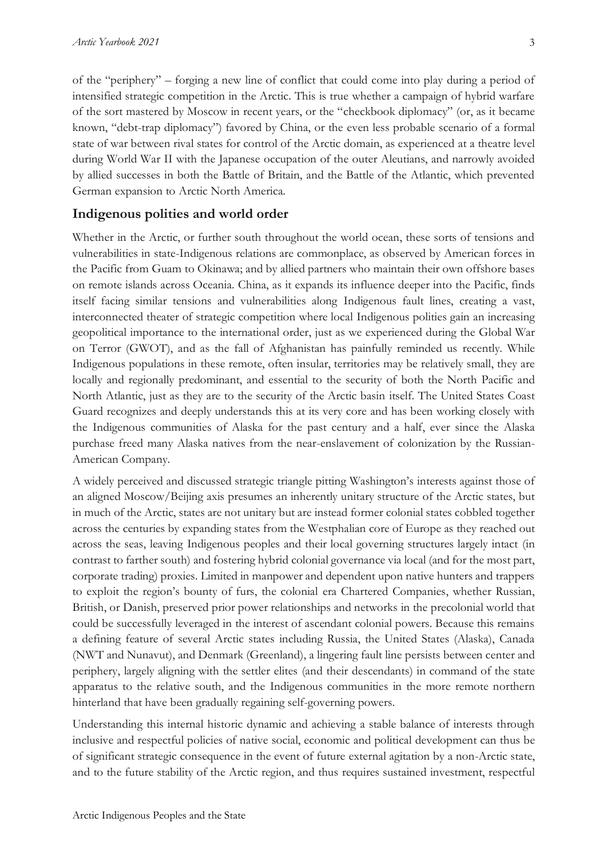of the "periphery" – forging a new line of conflict that could come into play during a period of intensified strategic competition in the Arctic. This is true whether a campaign of hybrid warfare of the sort mastered by Moscow in recent years, or the "checkbook diplomacy" (or, as it became known, "debt-trap diplomacy") favored by China, or the even less probable scenario of a formal state of war between rival states for control of the Arctic domain, as experienced at a theatre level during World War II with the Japanese occupation of the outer Aleutians, and narrowly avoided by allied successes in both the Battle of Britain, and the Battle of the Atlantic, which prevented German expansion to Arctic North America.

#### **Indigenous polities and world order**

Whether in the Arctic, or further south throughout the world ocean, these sorts of tensions and vulnerabilities in state-Indigenous relations are commonplace, as observed by American forces in the Pacific from Guam to Okinawa; and by allied partners who maintain their own offshore bases on remote islands across Oceania. China, as it expands its influence deeper into the Pacific, finds itself facing similar tensions and vulnerabilities along Indigenous fault lines, creating a vast, interconnected theater of strategic competition where local Indigenous polities gain an increasing geopolitical importance to the international order, just as we experienced during the Global War on Terror (GWOT), and as the fall of Afghanistan has painfully reminded us recently. While Indigenous populations in these remote, often insular, territories may be relatively small, they are locally and regionally predominant, and essential to the security of both the North Pacific and North Atlantic, just as they are to the security of the Arctic basin itself. The United States Coast Guard recognizes and deeply understands this at its very core and has been working closely with the Indigenous communities of Alaska for the past century and a half, ever since the Alaska purchase freed many Alaska natives from the near-enslavement of colonization by the Russian-American Company.

A widely perceived and discussed strategic triangle pitting Washington's interests against those of an aligned Moscow/Beijing axis presumes an inherently unitary structure of the Arctic states, but in much of the Arctic, states are not unitary but are instead former colonial states cobbled together across the centuries by expanding states from the Westphalian core of Europe as they reached out across the seas, leaving Indigenous peoples and their local governing structures largely intact (in contrast to farther south) and fostering hybrid colonial governance via local (and for the most part, corporate trading) proxies. Limited in manpower and dependent upon native hunters and trappers to exploit the region's bounty of furs, the colonial era Chartered Companies, whether Russian, British, or Danish, preserved prior power relationships and networks in the precolonial world that could be successfully leveraged in the interest of ascendant colonial powers. Because this remains a defining feature of several Arctic states including Russia, the United States (Alaska), Canada (NWT and Nunavut), and Denmark (Greenland), a lingering fault line persists between center and periphery, largely aligning with the settler elites (and their descendants) in command of the state apparatus to the relative south, and the Indigenous communities in the more remote northern hinterland that have been gradually regaining self-governing powers.

Understanding this internal historic dynamic and achieving a stable balance of interests through inclusive and respectful policies of native social, economic and political development can thus be of significant strategic consequence in the event of future external agitation by a non-Arctic state, and to the future stability of the Arctic region, and thus requires sustained investment, respectful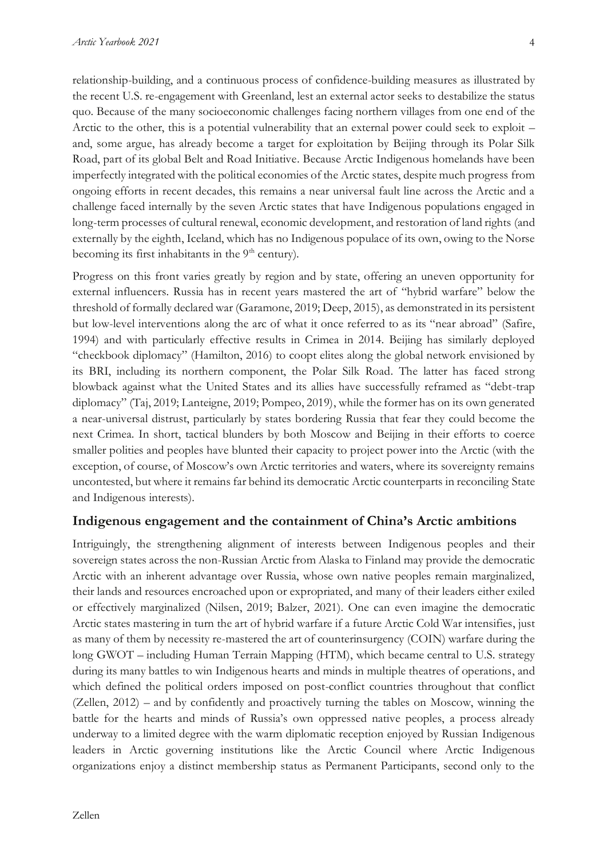relationship-building, and a continuous process of confidence-building measures as illustrated by the recent U.S. re-engagement with Greenland, lest an external actor seeks to destabilize the status quo. Because of the many socioeconomic challenges facing northern villages from one end of the Arctic to the other, this is a potential vulnerability that an external power could seek to exploit – and, some argue, has already become a target for exploitation by Beijing through its Polar Silk Road, part of its global Belt and Road Initiative. Because Arctic Indigenous homelands have been imperfectly integrated with the political economies of the Arctic states, despite much progress from ongoing efforts in recent decades, this remains a near universal fault line across the Arctic and a challenge faced internally by the seven Arctic states that have Indigenous populations engaged in long-term processes of cultural renewal, economic development, and restoration of land rights (and externally by the eighth, Iceland, which has no Indigenous populace of its own, owing to the Norse becoming its first inhabitants in the  $9<sup>th</sup>$  century).

Progress on this front varies greatly by region and by state, offering an uneven opportunity for external influencers. Russia has in recent years mastered the art of "hybrid warfare" below the threshold of formally declared war (Garamone, 2019; Deep, 2015), as demonstrated in its persistent but low-level interventions along the arc of what it once referred to as its "near abroad" (Safire, 1994) and with particularly effective results in Crimea in 2014. Beijing has similarly deployed "checkbook diplomacy" (Hamilton, 2016) to coopt elites along the global network envisioned by its BRI, including its northern component, the Polar Silk Road. The latter has faced strong blowback against what the United States and its allies have successfully reframed as "debt-trap diplomacy" (Taj, 2019; Lanteigne, 2019; Pompeo, 2019), while the former has on its own generated a near-universal distrust, particularly by states bordering Russia that fear they could become the next Crimea. In short, tactical blunders by both Moscow and Beijing in their efforts to coerce smaller polities and peoples have blunted their capacity to project power into the Arctic (with the exception, of course, of Moscow's own Arctic territories and waters, where its sovereignty remains uncontested, but where it remains far behind its democratic Arctic counterparts in reconciling State and Indigenous interests).

#### **Indigenous engagement and the containment of China's Arctic ambitions**

Intriguingly, the strengthening alignment of interests between Indigenous peoples and their sovereign states across the non-Russian Arctic from Alaska to Finland may provide the democratic Arctic with an inherent advantage over Russia, whose own native peoples remain marginalized, their lands and resources encroached upon or expropriated, and many of their leaders either exiled or effectively marginalized (Nilsen, 2019; Balzer, 2021). One can even imagine the democratic Arctic states mastering in turn the art of hybrid warfare if a future Arctic Cold War intensifies, just as many of them by necessity re-mastered the art of counterinsurgency (COIN) warfare during the long GWOT – including Human Terrain Mapping (HTM), which became central to U.S. strategy during its many battles to win Indigenous hearts and minds in multiple theatres of operations, and which defined the political orders imposed on post-conflict countries throughout that conflict (Zellen, 2012) – and by confidently and proactively turning the tables on Moscow, winning the battle for the hearts and minds of Russia's own oppressed native peoples, a process already underway to a limited degree with the warm diplomatic reception enjoyed by Russian Indigenous leaders in Arctic governing institutions like the Arctic Council where Arctic Indigenous organizations enjoy a distinct membership status as Permanent Participants, second only to the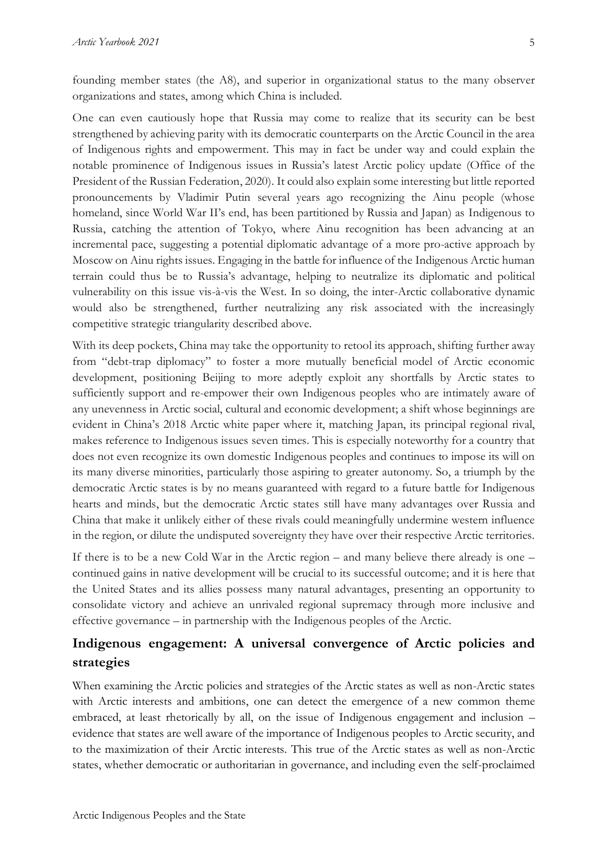founding member states (the A8), and superior in organizational status to the many observer organizations and states, among which China is included.

One can even cautiously hope that Russia may come to realize that its security can be best strengthened by achieving parity with its democratic counterparts on the Arctic Council in the area of Indigenous rights and empowerment. This may in fact be under way and could explain the notable prominence of Indigenous issues in Russia's latest Arctic policy update (Office of the President of the Russian Federation, 2020). It could also explain some interesting but little reported pronouncements by Vladimir Putin several years ago recognizing the Ainu people (whose homeland, since World War II's end, has been partitioned by Russia and Japan) as Indigenous to Russia, catching the attention of Tokyo, where Ainu recognition has been advancing at an incremental pace, suggesting a potential diplomatic advantage of a more pro-active approach by Moscow on Ainu rights issues. Engaging in the battle for influence of the Indigenous Arctic human terrain could thus be to Russia's advantage, helping to neutralize its diplomatic and political vulnerability on this issue vis-à-vis the West. In so doing, the inter-Arctic collaborative dynamic would also be strengthened, further neutralizing any risk associated with the increasingly competitive strategic triangularity described above.

With its deep pockets, China may take the opportunity to retool its approach, shifting further away from "debt-trap diplomacy" to foster a more mutually beneficial model of Arctic economic development, positioning Beijing to more adeptly exploit any shortfalls by Arctic states to sufficiently support and re-empower their own Indigenous peoples who are intimately aware of any unevenness in Arctic social, cultural and economic development; a shift whose beginnings are evident in China's 2018 Arctic white paper where it, matching Japan, its principal regional rival, makes reference to Indigenous issues seven times. This is especially noteworthy for a country that does not even recognize its own domestic Indigenous peoples and continues to impose its will on its many diverse minorities, particularly those aspiring to greater autonomy. So, a triumph by the democratic Arctic states is by no means guaranteed with regard to a future battle for Indigenous hearts and minds, but the democratic Arctic states still have many advantages over Russia and China that make it unlikely either of these rivals could meaningfully undermine western influence in the region, or dilute the undisputed sovereignty they have over their respective Arctic territories.

If there is to be a new Cold War in the Arctic region – and many believe there already is one – continued gains in native development will be crucial to its successful outcome; and it is here that the United States and its allies possess many natural advantages, presenting an opportunity to consolidate victory and achieve an unrivaled regional supremacy through more inclusive and effective governance – in partnership with the Indigenous peoples of the Arctic.

## **Indigenous engagement: A universal convergence of Arctic policies and strategies**

When examining the Arctic policies and strategies of the Arctic states as well as non-Arctic states with Arctic interests and ambitions, one can detect the emergence of a new common theme embraced, at least rhetorically by all, on the issue of Indigenous engagement and inclusion – evidence that states are well aware of the importance of Indigenous peoples to Arctic security, and to the maximization of their Arctic interests. This true of the Arctic states as well as non-Arctic states, whether democratic or authoritarian in governance, and including even the self-proclaimed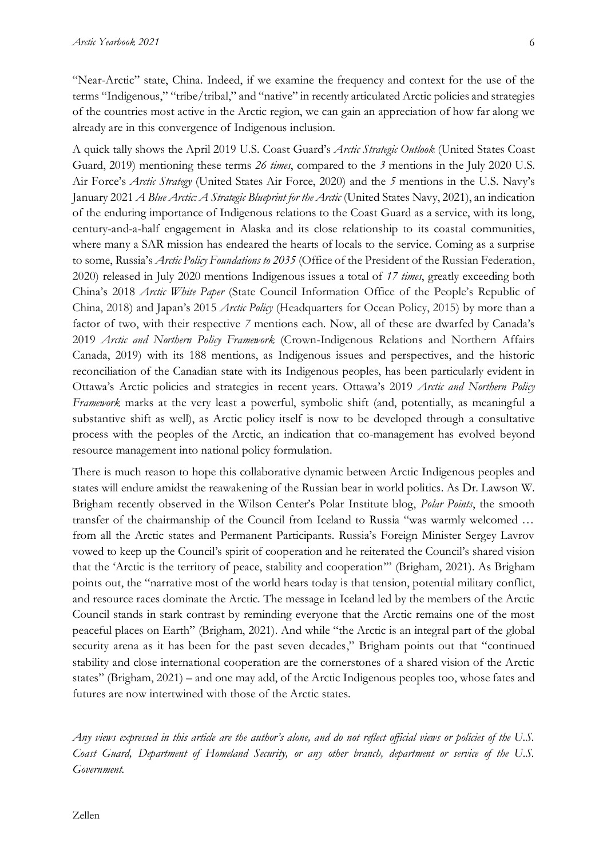"Near-Arctic" state, China. Indeed, if we examine the frequency and context for the use of the terms "Indigenous," "tribe/tribal," and "native" in recently articulated Arctic policies and strategies of the countries most active in the Arctic region, we can gain an appreciation of how far along we already are in this convergence of Indigenous inclusion.

A quick tally shows the April 2019 U.S. Coast Guard's *Arctic Strategic Outlook* (United States Coast Guard, 2019) mentioning these terms *26 times*, compared to the *3* mentions in the July 2020 U.S. Air Force's *Arctic Strategy* (United States Air Force, 2020) and the *5* mentions in the U.S. Navy's January 2021 *A Blue Arctic: A Strategic Blueprint for the Arctic* (United States Navy, 2021), an indication of the enduring importance of Indigenous relations to the Coast Guard as a service, with its long, century-and-a-half engagement in Alaska and its close relationship to its coastal communities, where many a SAR mission has endeared the hearts of locals to the service. Coming as a surprise to some, Russia's *Arctic Policy Foundations to 2035* (Office of the President of the Russian Federation, 2020) released in July 2020 mentions Indigenous issues a total of *17 times*, greatly exceeding both China's 2018 *Arctic White Paper* (State Council Information Office of the People's Republic of China, 2018) and Japan's 2015 *Arctic Policy* (Headquarters for Ocean Policy, 2015) by more than a factor of two, with their respective *7* mentions each. Now, all of these are dwarfed by Canada's 2019 *Arctic and Northern Policy Framework* (Crown-Indigenous Relations and Northern Affairs Canada, 2019) with its 188 mentions, as Indigenous issues and perspectives, and the historic reconciliation of the Canadian state with its Indigenous peoples, has been particularly evident in Ottawa's Arctic policies and strategies in recent years. Ottawa's 2019 *Arctic and Northern Policy Framework* marks at the very least a powerful, symbolic shift (and, potentially, as meaningful a substantive shift as well), as Arctic policy itself is now to be developed through a consultative process with the peoples of the Arctic, an indication that co-management has evolved beyond resource management into national policy formulation.

There is much reason to hope this collaborative dynamic between Arctic Indigenous peoples and states will endure amidst the reawakening of the Russian bear in world politics. As Dr. Lawson W. Brigham recently observed in the Wilson Center's Polar Institute blog, *Polar Points*, the smooth transfer of the chairmanship of the Council from Iceland to Russia "was warmly welcomed … from all the Arctic states and Permanent Participants. Russia's Foreign Minister Sergey Lavrov vowed to keep up the Council's spirit of cooperation and he reiterated the Council's shared vision that the 'Arctic is the territory of peace, stability and cooperation'" (Brigham, 2021). As Brigham points out, the "narrative most of the world hears today is that tension, potential military conflict, and resource races dominate the Arctic. The message in Iceland led by the members of the Arctic Council stands in stark contrast by reminding everyone that the Arctic remains one of the most peaceful places on Earth" (Brigham, 2021). And while "the Arctic is an integral part of the global security arena as it has been for the past seven decades," Brigham points out that "continued stability and close international cooperation are the cornerstones of a shared vision of the Arctic states" (Brigham, 2021) – and one may add, of the Arctic Indigenous peoples too, whose fates and futures are now intertwined with those of the Arctic states.

*Any views expressed in this article are the author's alone, and do not reflect official views or policies of the U.S. Coast Guard, Department of Homeland Security, or any other branch, department or service of the U.S. Government.*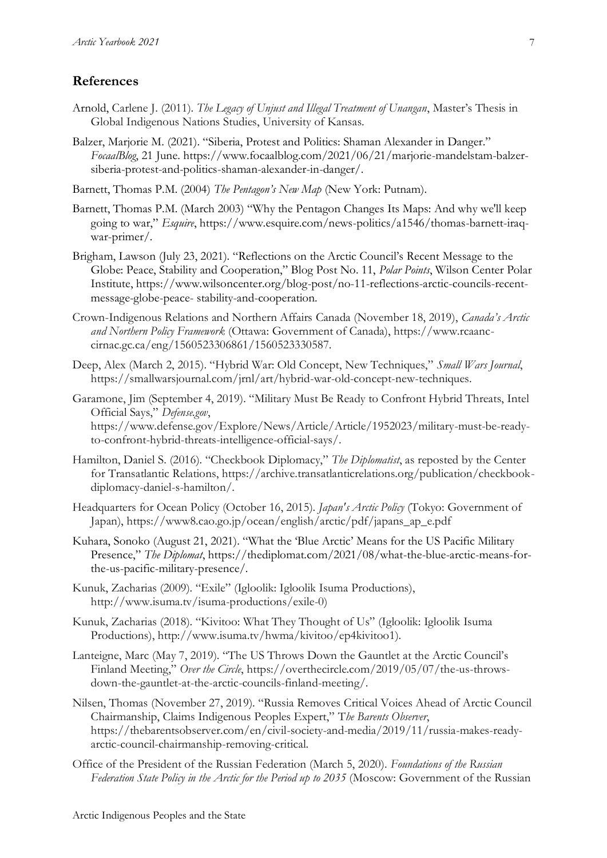#### **References**

- Arnold, Carlene J. (2011). *The Legacy of Unjust and Illegal Treatment of Unangan*, Master's Thesis in Global Indigenous Nations Studies, University of Kansas.
- Balzer, Marjorie M. (2021). "Siberia, Protest and Politics: Shaman Alexander in Danger." *FocaalBlog*, 21 June. https://www.focaalblog.com/2021/06/21/marjorie-mandelstam-balzersiberia-protest-and-politics-shaman-alexander-in-danger/.
- Barnett, Thomas P.M. (2004) *The Pentagon's New Map* (New York: Putnam).
- Barnett, Thomas P.M. (March 2003) "Why the Pentagon Changes Its Maps: And why we'll keep going to war," *Esquire*, https://www.esquire.com/news-politics/a1546/thomas-barnett-iraqwar-primer/.
- Brigham, Lawson (July 23, 2021). "Reflections on the Arctic Council's Recent Message to the Globe: Peace, Stability and Cooperation," Blog Post No. 11, *Polar Points*, Wilson Center Polar Institute, https://www.wilsoncenter.org/blog-post/no-11-reflections-arctic-councils-recentmessage-globe-peace- stability-and-cooperation.
- Crown-Indigenous Relations and Northern Affairs Canada (November 18, 2019), *Canada's Arctic and Northern Policy Framework* (Ottawa: Government of Canada), https://www.rcaanccirnac.gc.ca/eng/1560523306861/1560523330587.
- Deep, Alex (March 2, 2015). "Hybrid War: Old Concept, New Techniques," *Small Wars Journal*, https://smallwarsjournal.com/jrnl/art/hybrid-war-old-concept-new-techniques.
- Garamone, Jim (September 4, 2019). "Military Must Be Ready to Confront Hybrid Threats, Intel Official Says," *Defense.gov*, https://www.defense.gov/Explore/News/Article/Article/1952023/military-must-be-readyto-confront-hybrid-threats-intelligence-official-says/.
- Hamilton, Daniel S. (2016). "Checkbook Diplomacy," *The Diplomatist*, as reposted by the Center for Transatlantic Relations, https://archive.transatlanticrelations.org/publication/checkbookdiplomacy-daniel-s-hamilton/.
- Headquarters for Ocean Policy (October 16, 2015). *Japan's Arctic Policy* (Tokyo: Government of Japan), https://www8.cao.go.jp/ocean/english/arctic/pdf/japans\_ap\_e.pdf
- Kuhara, Sonoko (August 21, 2021). "What the 'Blue Arctic' Means for the US Pacific Military Presence," *The Diplomat*, https://thediplomat.com/2021/08/what-the-blue-arctic-means-forthe-us-pacific-military-presence/.
- Kunuk, Zacharias (2009). "Exile" (Igloolik: Igloolik Isuma Productions), http://www.isuma.tv/isuma-productions/exile-0)
- Kunuk, Zacharias (2018). "Kivitoo: What They Thought of Us" (Igloolik: Igloolik Isuma Productions), http://www.isuma.tv/hwma/kivitoo/ep4kivitoo1).
- Lanteigne, Marc (May 7, 2019). "The US Throws Down the Gauntlet at the Arctic Council's Finland Meeting," *Over the Circle*, https://overthecircle.com/2019/05/07/the-us-throwsdown-the-gauntlet-at-the-arctic-councils-finland-meeting/.
- Nilsen, Thomas (November 27, 2019). "Russia Removes Critical Voices Ahead of Arctic Council Chairmanship, Claims Indigenous Peoples Expert," T*he Barents Observer*, https://thebarentsobserver.com/en/civil-society-and-media/2019/11/russia-makes-readyarctic-council-chairmanship-removing-critical.
- Office of the President of the Russian Federation (March 5, 2020). *Foundations of the Russian Federation State Policy in the Arctic for the Period up to 2035* (Moscow: Government of the Russian